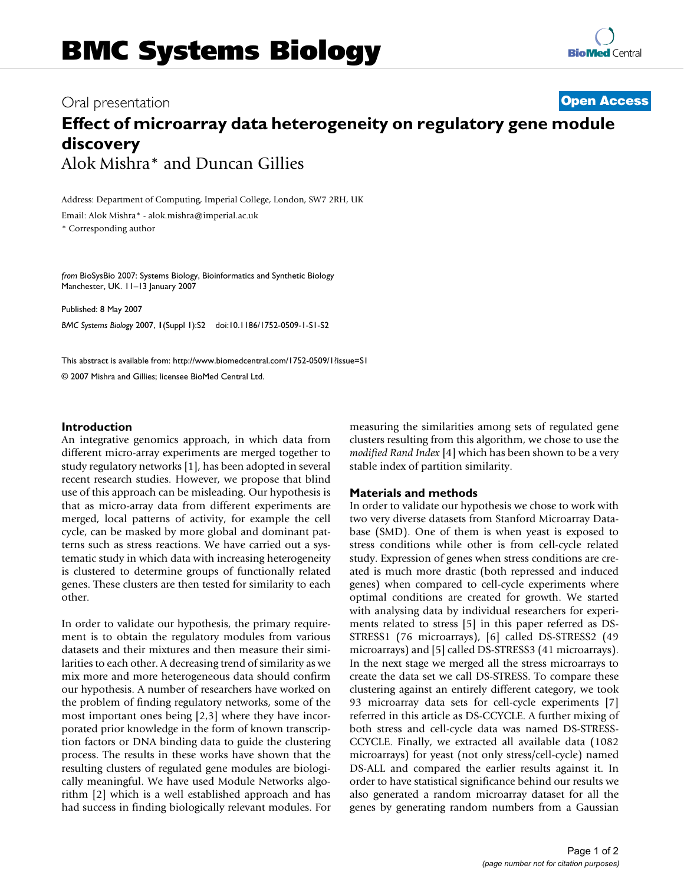# **Effect of microarray data heterogeneity on regulatory gene module discovery** Alok Mishra\* and Duncan Gillies

Address: Department of Computing, Imperial College, London, SW7 2RH, UK

Email: Alok Mishra\* - alok.mishra@imperial.ac.uk

\* Corresponding author

*from* BioSysBio 2007: Systems Biology, Bioinformatics and Synthetic Biology Manchester, UK. 11–13 January 2007

Published: 8 May 2007 *BMC Systems Biology* 2007, **1**(Suppl 1):S2 doi:10.1186/1752-0509-1-S1-S2

[This abstract is available from: http://www.biomedcentral.com/1752-0509/1?issue=S1](http://www.biomedcentral.com/1752-0509/1?issue=S1) © 2007 Mishra and Gillies; licensee BioMed Central Ltd.

#### **Introduction**

An integrative genomics approach, in which data from different micro-array experiments are merged together to study regulatory networks [1], has been adopted in several recent research studies. However, we propose that blind use of this approach can be misleading. Our hypothesis is that as micro-array data from different experiments are merged, local patterns of activity, for example the cell cycle, can be masked by more global and dominant patterns such as stress reactions. We have carried out a systematic study in which data with increasing heterogeneity is clustered to determine groups of functionally related genes. These clusters are then tested for similarity to each other.

In order to validate our hypothesis, the primary requirement is to obtain the regulatory modules from various datasets and their mixtures and then measure their similarities to each other. A decreasing trend of similarity as we mix more and more heterogeneous data should confirm our hypothesis. A number of researchers have worked on the problem of finding regulatory networks, some of the most important ones being [2,3] where they have incorporated prior knowledge in the form of known transcription factors or DNA binding data to guide the clustering process. The results in these works have shown that the resulting clusters of regulated gene modules are biologically meaningful. We have used Module Networks algorithm [2] which is a well established approach and has had success in finding biologically relevant modules. For measuring the similarities among sets of regulated gene clusters resulting from this algorithm, we chose to use the *modified Rand Index* [4] which has been shown to be a very stable index of partition similarity.

#### **Materials and methods**

In order to validate our hypothesis we chose to work with two very diverse datasets from Stanford Microarray Database (SMD). One of them is when yeast is exposed to stress conditions while other is from cell-cycle related study. Expression of genes when stress conditions are created is much more drastic (both repressed and induced genes) when compared to cell-cycle experiments where optimal conditions are created for growth. We started with analysing data by individual researchers for experiments related to stress [5] in this paper referred as DS-STRESS1 (76 microarrays), [6] called DS-STRESS2 (49 microarrays) and [5] called DS-STRESS3 (41 microarrays). In the next stage we merged all the stress microarrays to create the data set we call DS-STRESS. To compare these clustering against an entirely different category, we took 93 microarray data sets for cell-cycle experiments [7] referred in this article as DS-CCYCLE. A further mixing of both stress and cell-cycle data was named DS-STRESS-CCYCLE. Finally, we extracted all available data (1082 microarrays) for yeast (not only stress/cell-cycle) named DS-ALL and compared the earlier results against it. In order to have statistical significance behind our results we also generated a random microarray dataset for all the genes by generating random numbers from a Gaussian